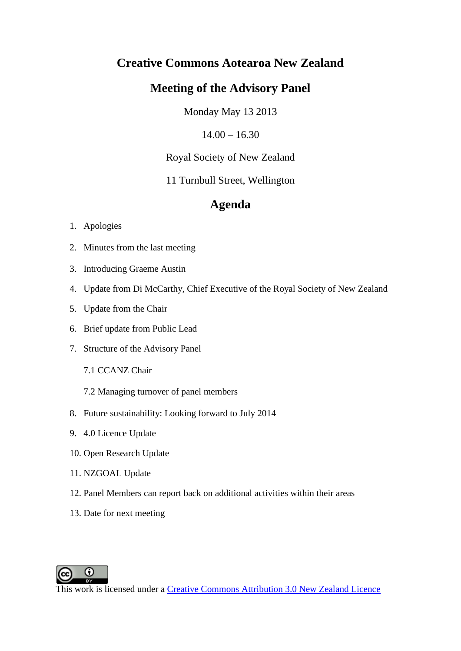# **Creative Commons Aotearoa New Zealand**

# **Meeting of the Advisory Panel**

Monday May 13 2013

 $14.00 - 16.30$ 

Royal Society of New Zealand

11 Turnbull Street, Wellington

# **Agenda**

# 1. Apologies

- 2. Minutes from the last meeting
- 3. Introducing Graeme Austin
- 4. Update from Di McCarthy, Chief Executive of the Royal Society of New Zealand
- 5. Update from the Chair
- 6. Brief update from Public Lead
- 7. Structure of the Advisory Panel
	- 7.1 CCANZ Chair
	- 7.2 Managing turnover of panel members
- 8. Future sustainability: Looking forward to July 2014
- 9. 4.0 Licence Update
- 10. Open Research Update
- 11. NZGOAL Update
- 12. Panel Members can report back on additional activities within their areas
- 13. Date for next meeting

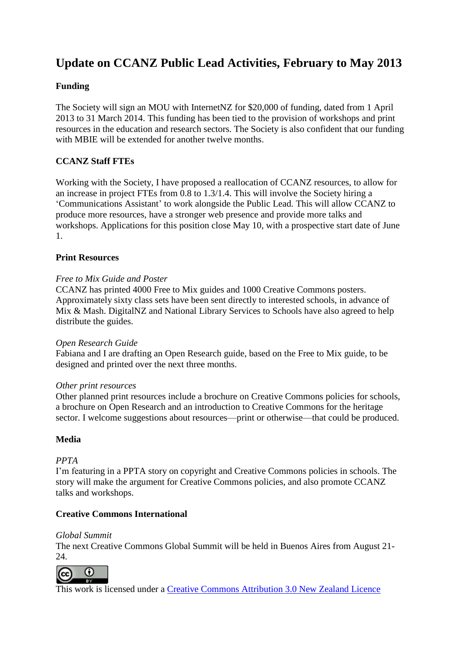# **Update on CCANZ Public Lead Activities, February to May 2013**

# **Funding**

The Society will sign an MOU with InternetNZ for \$20,000 of funding, dated from 1 April 2013 to 31 March 2014. This funding has been tied to the provision of workshops and print resources in the education and research sectors. The Society is also confident that our funding with MBIE will be extended for another twelve months.

# **CCANZ Staff FTEs**

Working with the Society, I have proposed a reallocation of CCANZ resources, to allow for an increase in project FTEs from 0.8 to 1.3/1.4. This will involve the Society hiring a 'Communications Assistant' to work alongside the Public Lead. This will allow CCANZ to produce more resources, have a stronger web presence and provide more talks and workshops. Applications for this position close May 10, with a prospective start date of June 1.

# **Print Resources**

## *Free to Mix Guide and Poster*

CCANZ has printed 4000 Free to Mix guides and 1000 Creative Commons posters. Approximately sixty class sets have been sent directly to interested schools, in advance of Mix & Mash. DigitalNZ and National Library Services to Schools have also agreed to help distribute the guides.

#### *Open Research Guide*

Fabiana and I are drafting an Open Research guide, based on the Free to Mix guide, to be designed and printed over the next three months.

#### *Other print resources*

Other planned print resources include a brochure on Creative Commons policies for schools, a brochure on Open Research and an introduction to Creative Commons for the heritage sector. I welcome suggestions about resources—print or otherwise—that could be produced.

# **Media**

# *PPTA*

I'm featuring in a PPTA story on copyright and Creative Commons policies in schools. The story will make the argument for Creative Commons policies, and also promote CCANZ talks and workshops.

# **Creative Commons International**

#### *Global Summit*

The next Creative Commons Global Summit will be held in Buenos Aires from August 21-  $24.$ 

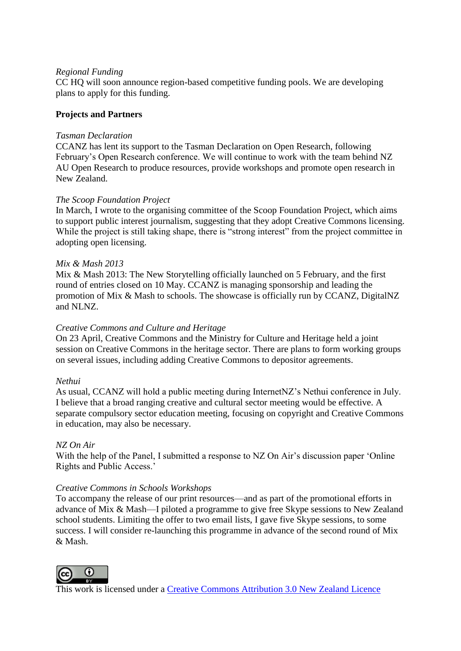#### *Regional Funding*

CC HQ will soon announce region-based competitive funding pools. We are developing plans to apply for this funding.

# **Projects and Partners**

#### *Tasman Declaration*

CCANZ has lent its support to the Tasman Declaration on Open Research, following February's Open Research conference. We will continue to work with the team behind NZ AU Open Research to produce resources, provide workshops and promote open research in New Zealand.

## *The Scoop Foundation Project*

In March, I wrote to the organising committee of the Scoop Foundation Project, which aims to support public interest journalism, suggesting that they adopt Creative Commons licensing. While the project is still taking shape, there is "strong interest" from the project committee in adopting open licensing.

## *Mix & Mash 2013*

Mix & Mash 2013: The New Storytelling officially launched on 5 February, and the first round of entries closed on 10 May. CCANZ is managing sponsorship and leading the promotion of Mix & Mash to schools. The showcase is officially run by CCANZ, DigitalNZ and NLNZ.

#### *Creative Commons and Culture and Heritage*

On 23 April, Creative Commons and the Ministry for Culture and Heritage held a joint session on Creative Commons in the heritage sector. There are plans to form working groups on several issues, including adding Creative Commons to depositor agreements.

#### *Nethui*

As usual, CCANZ will hold a public meeting during InternetNZ's Nethui conference in July. I believe that a broad ranging creative and cultural sector meeting would be effective. A separate compulsory sector education meeting, focusing on copyright and Creative Commons in education, may also be necessary.

#### *NZ On Air*

With the help of the Panel, I submitted a response to NZ On Air's discussion paper 'Online Rights and Public Access.'

#### *Creative Commons in Schools Workshops*

To accompany the release of our print resources—and as part of the promotional efforts in advance of Mix & Mash—I piloted a programme to give free Skype sessions to New Zealand school students. Limiting the offer to two email lists, I gave five Skype sessions, to some success. I will consider re-launching this programme in advance of the second round of Mix & Mash.

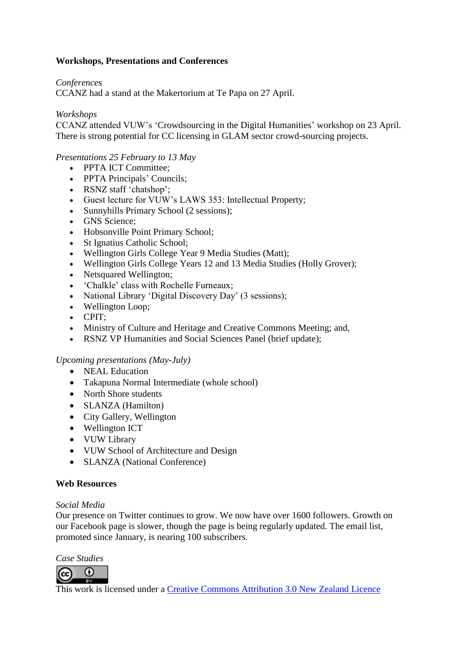# **Workshops, Presentations and Conferences**

*Conferences*

CCANZ had a stand at the Makertorium at Te Papa on 27 April.

*Workshops*

CCANZ attended VUW's 'Crowdsourcing in the Digital Humanities' workshop on 23 April. There is strong potential for CC licensing in GLAM sector crowd-sourcing projects.

# *Presentations 25 February to 13 May*

- PPTA ICT Committee:
- PPTA Principals' Councils;
- RSNZ staff 'chatshop';
- Guest lecture for VUW's LAWS 353: Intellectual Property;
- Sunnyhills Primary School (2 sessions);
- GNS Science:
- Hobsonville Point Primary School;
- St Ignatius Catholic School;
- Wellington Girls College Year 9 Media Studies (Matt);
- Wellington Girls College Years 12 and 13 Media Studies (Holly Grover);
- Netsquared Wellington;
- 'Chalkle' class with Rochelle Furneaux;
- National Library 'Digital Discovery Day' (3 sessions);
- Wellington Loop;
- CPIT:
- Ministry of Culture and Heritage and Creative Commons Meeting; and,
- RSNZ VP Humanities and Social Sciences Panel (brief update);

#### *Upcoming presentations (May-July)*

- NEAL Education
- Takapuna Normal Intermediate (whole school)
- North Shore students
- SLANZA (Hamilton)
- City Gallery, Wellington
- Wellington ICT
- VUW Library
- VUW School of Architecture and Design
- SLANZA (National Conference)

#### **Web Resources**

#### *Social Media*

Our presence on Twitter continues to grow. We now have over 1600 followers. Growth on our Facebook page is slower, though the page is being regularly updated. The email list, promoted since January, is nearing 100 subscribers.

*Case Studies*